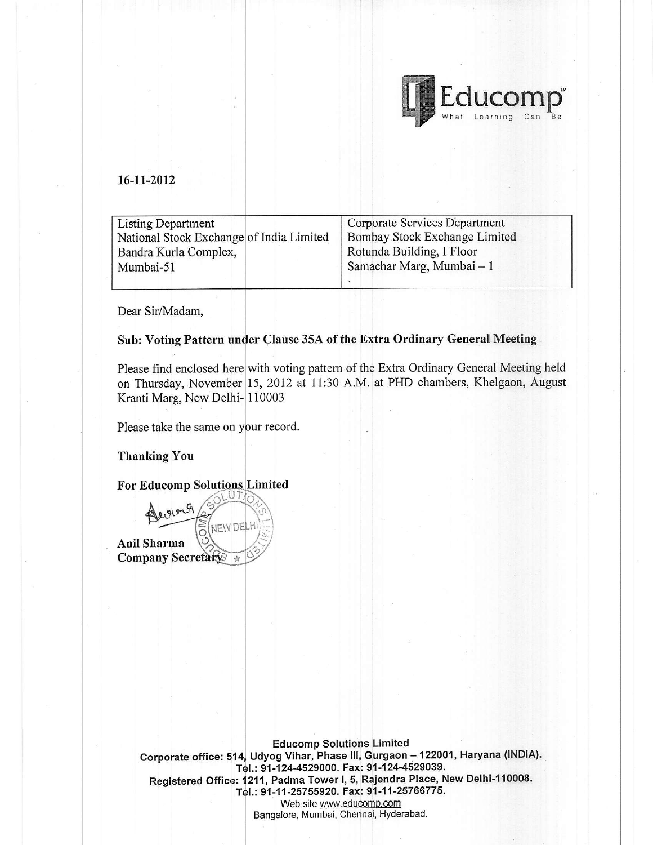

### 16-11-2012

| <b>Listing Department</b>                | Corporate Services Department |
|------------------------------------------|-------------------------------|
| National Stock Exchange of India Limited | Bombay Stock Exchange Limited |
| Bandra Kurla Complex,                    | Rotunda Building, I Floor     |
| Mumbai-51                                | Samachar Marg, Mumbai – 1     |
|                                          |                               |

Dear Sir/Madam,

#### Sub: Voting Pattern under Clause 35A of the Extra Ordinary General Meeting

Please find enclosed here with voting pattern of the Extra Ordinary General Meeting held on Thursday, November 15, 2012 at 11:30 A.M. at PHD chambers, Khelgaon, August Kranti Marg, New Delhi-|110003

Please take the same on your record.

Thanking You

For Educomp  $\binom{1}{0}$ georg  $\widetilde{\widetilde{\circ}}$ NEW DELI l.:: Anil Sharma  $\gg$ Company Secretary

Corporate office: 514, Udyog Vihar, Phase III, Gurgaon – 122001, Haryana (INDIA). Educomp Solutions Limited Tel.: 91-124-4529000. Fax: 91-124-4529039. Registered Office: 1211, Padma Tower I, 5, Rajendra Place, New Delhi-110008. Tel.: 91-11-25755920. Fax: 91-11-25766775. Web site www.educomp.com Bangalore, Mumbai, Chennai, Hyderabad.